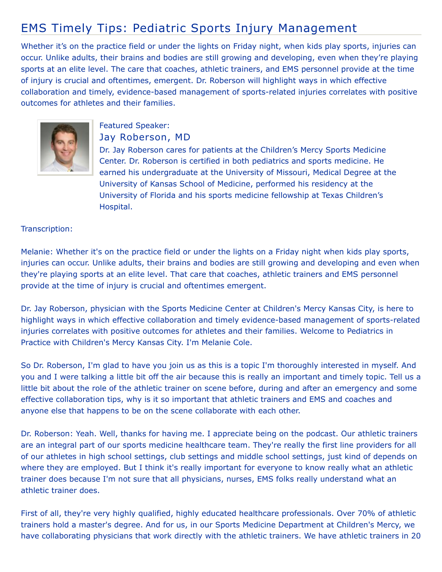## EMS Timely Tips: Pediatric Sports Injury Management

Whether it's on the practice field or under the lights on Friday night, when kids play sports, injuries can occur. Unlike adults, their brains and bodies are still growing and developing, even when they're playing sports at an elite level. The care that coaches, athletic trainers, and EMS personnel provide at the time of injury is crucial and oftentimes, emergent. Dr. Roberson will highlight ways in which effective collaboration and timely, evidence-based management of sports-related injuries correlates with positive outcomes for athletes and their families.



## Featured Speaker: Jay Roberson, MD

Dr. Jay Roberson cares for patients at the Children's Mercy Sports Medicine Center. Dr. Roberson is certified in both pediatrics and sports medicine. He earned his undergraduate at the University of Missouri, Medical Degree at the University of Kansas School of Medicine, performed his residency at the University of Florida and his sports medicine fellowship at Texas Children's Hospital.

## Transcription:

Melanie: Whether it's on the practice field or under the lights on a Friday night when kids play sports, injuries can occur. Unlike adults, their brains and bodies are still growing and developing and even when they're playing sports at an elite level. That care that coaches, athletic trainers and EMS personnel provide at the time of injury is crucial and oftentimes emergent.

Dr. Jay Roberson, physician with the Sports Medicine Center at Children's Mercy Kansas City, is here to highlight ways in which effective collaboration and timely evidence-based management of sports-related injuries correlates with positive outcomes for athletes and their families. Welcome to Pediatrics in Practice with Children's Mercy Kansas City. I'm Melanie Cole.

So Dr. Roberson, I'm glad to have you join us as this is a topic I'm thoroughly interested in myself. And you and I were talking a little bit off the air because this is really an important and timely topic. Tell us a little bit about the role of the athletic trainer on scene before, during and after an emergency and some effective collaboration tips, why is it so important that athletic trainers and EMS and coaches and anyone else that happens to be on the scene collaborate with each other.

Dr. Roberson: Yeah. Well, thanks for having me. I appreciate being on the podcast. Our athletic trainers are an integral part of our sports medicine healthcare team. They're really the first line providers for all of our athletes in high school settings, club settings and middle school settings, just kind of depends on where they are employed. But I think it's really important for everyone to know really what an athletic trainer does because I'm not sure that all physicians, nurses, EMS folks really understand what an athletic trainer does.

First of all, they're very highly qualified, highly educated healthcare professionals. Over 70% of athletic trainers hold a master's degree. And for us, in our Sports Medicine Department at Children's Mercy, we have collaborating physicians that work directly with the athletic trainers. We have athletic trainers in 20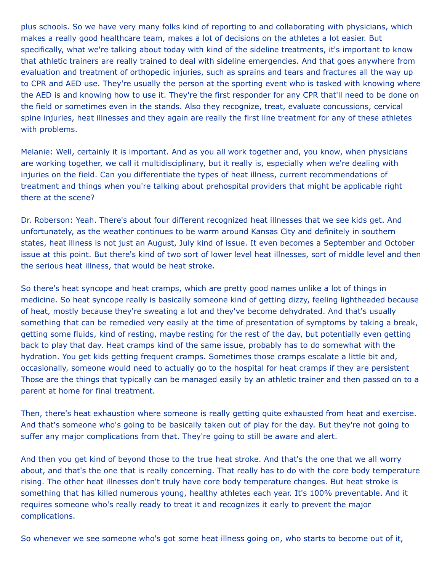plus schools. So we have very many folks kind of reporting to and collaborating with physicians, which makes a really good healthcare team, makes a lot of decisions on the athletes a lot easier. But specifically, what we're talking about today with kind of the sideline treatments, it's important to know that athletic trainers are really trained to deal with sideline emergencies. And that goes anywhere from evaluation and treatment of orthopedic injuries, such as sprains and tears and fractures all the way up to CPR and AED use. They're usually the person at the sporting event who is tasked with knowing where the AED is and knowing how to use it. They're the first responder for any CPR that'll need to be done on the field or sometimes even in the stands. Also they recognize, treat, evaluate concussions, cervical spine injuries, heat illnesses and they again are really the first line treatment for any of these athletes with problems.

Melanie: Well, certainly it is important. And as you all work together and, you know, when physicians are working together, we call it multidisciplinary, but it really is, especially when we're dealing with injuries on the field. Can you differentiate the types of heat illness, current recommendations of treatment and things when you're talking about prehospital providers that might be applicable right there at the scene?

Dr. Roberson: Yeah. There's about four different recognized heat illnesses that we see kids get. And unfortunately, as the weather continues to be warm around Kansas City and definitely in southern states, heat illness is not just an August, July kind of issue. It even becomes a September and October issue at this point. But there's kind of two sort of lower level heat illnesses, sort of middle level and then the serious heat illness, that would be heat stroke.

So there's heat syncope and heat cramps, which are pretty good names unlike a lot of things in medicine. So heat syncope really is basically someone kind of getting dizzy, feeling lightheaded because of heat, mostly because they're sweating a lot and they've become dehydrated. And that's usually something that can be remedied very easily at the time of presentation of symptoms by taking a break, getting some fluids, kind of resting, maybe resting for the rest of the day, but potentially even getting back to play that day. Heat cramps kind of the same issue, probably has to do somewhat with the hydration. You get kids getting frequent cramps. Sometimes those cramps escalate a little bit and, occasionally, someone would need to actually go to the hospital for heat cramps if they are persistent Those are the things that typically can be managed easily by an athletic trainer and then passed on to a parent at home for final treatment.

Then, there's heat exhaustion where someone is really getting quite exhausted from heat and exercise. And that's someone who's going to be basically taken out of play for the day. But they're not going to suffer any major complications from that. They're going to still be aware and alert.

And then you get kind of beyond those to the true heat stroke. And that's the one that we all worry about, and that's the one that is really concerning. That really has to do with the core body temperature rising. The other heat illnesses don't truly have core body temperature changes. But heat stroke is something that has killed numerous young, healthy athletes each year. It's 100% preventable. And it requires someone who's really ready to treat it and recognizes it early to prevent the major complications.

So whenever we see someone who's got some heat illness going on, who starts to become out of it,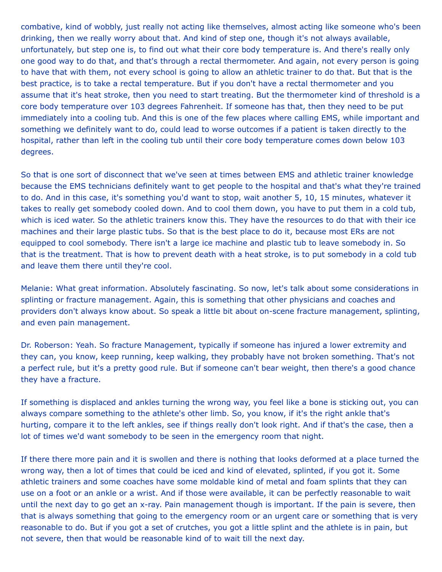combative, kind of wobbly, just really not acting like themselves, almost acting like someone who's been drinking, then we really worry about that. And kind of step one, though it's not always available, unfortunately, but step one is, to find out what their core body temperature is. And there's really only one good way to do that, and that's through a rectal thermometer. And again, not every person is going to have that with them, not every school is going to allow an athletic trainer to do that. But that is the best practice, is to take a rectal temperature. But if you don't have a rectal thermometer and you assume that it's heat stroke, then you need to start treating. But the thermometer kind of threshold is a core body temperature over 103 degrees Fahrenheit. If someone has that, then they need to be put immediately into a cooling tub. And this is one of the few places where calling EMS, while important and something we definitely want to do, could lead to worse outcomes if a patient is taken directly to the hospital, rather than left in the cooling tub until their core body temperature comes down below 103 degrees.

So that is one sort of disconnect that we've seen at times between EMS and athletic trainer knowledge because the EMS technicians definitely want to get people to the hospital and that's what they're trained to do. And in this case, it's something you'd want to stop, wait another 5, 10, 15 minutes, whatever it takes to really get somebody cooled down. And to cool them down, you have to put them in a cold tub, which is iced water. So the athletic trainers know this. They have the resources to do that with their ice machines and their large plastic tubs. So that is the best place to do it, because most ERs are not equipped to cool somebody. There isn't a large ice machine and plastic tub to leave somebody in. So that is the treatment. That is how to prevent death with a heat stroke, is to put somebody in a cold tub and leave them there until they're cool.

Melanie: What great information. Absolutely fascinating. So now, let's talk about some considerations in splinting or fracture management. Again, this is something that other physicians and coaches and providers don't always know about. So speak a little bit about on-scene fracture management, splinting, and even pain management.

Dr. Roberson: Yeah. So fracture Management, typically if someone has injured a lower extremity and they can, you know, keep running, keep walking, they probably have not broken something. That's not a perfect rule, but it's a pretty good rule. But if someone can't bear weight, then there's a good chance they have a fracture.

If something is displaced and ankles turning the wrong way, you feel like a bone is sticking out, you can always compare something to the athlete's other limb. So, you know, if it's the right ankle that's hurting, compare it to the left ankles, see if things really don't look right. And if that's the case, then a lot of times we'd want somebody to be seen in the emergency room that night.

If there there more pain and it is swollen and there is nothing that looks deformed at a place turned the wrong way, then a lot of times that could be iced and kind of elevated, splinted, if you got it. Some athletic trainers and some coaches have some moldable kind of metal and foam splints that they can use on a foot or an ankle or a wrist. And if those were available, it can be perfectly reasonable to wait until the next day to go get an x-ray. Pain management though is important. If the pain is severe, then that is always something that going to the emergency room or an urgent care or something that is very reasonable to do. But if you got a set of crutches, you got a little splint and the athlete is in pain, but not severe, then that would be reasonable kind of to wait till the next day.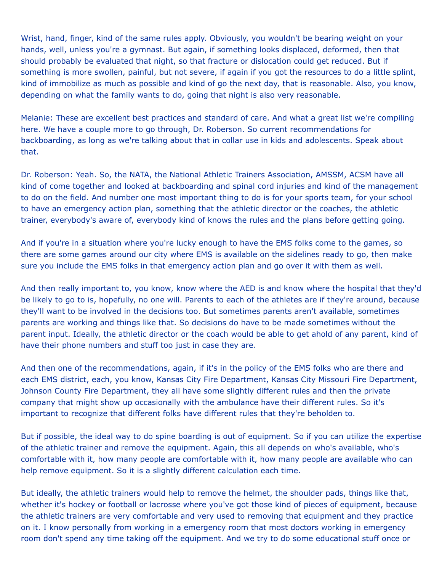Wrist, hand, finger, kind of the same rules apply. Obviously, you wouldn't be bearing weight on your hands, well, unless you're a gymnast. But again, if something looks displaced, deformed, then that should probably be evaluated that night, so that fracture or dislocation could get reduced. But if something is more swollen, painful, but not severe, if again if you got the resources to do a little splint, kind of immobilize as much as possible and kind of go the next day, that is reasonable. Also, you know, depending on what the family wants to do, going that night is also very reasonable.

Melanie: These are excellent best practices and standard of care. And what a great list we're compiling here. We have a couple more to go through, Dr. Roberson. So current recommendations for backboarding, as long as we're talking about that in collar use in kids and adolescents. Speak about that.

Dr. Roberson: Yeah. So, the NATA, the National Athletic Trainers Association, AMSSM, ACSM have all kind of come together and looked at backboarding and spinal cord injuries and kind of the management to do on the field. And number one most important thing to do is for your sports team, for your school to have an emergency action plan, something that the athletic director or the coaches, the athletic trainer, everybody's aware of, everybody kind of knows the rules and the plans before getting going.

And if you're in a situation where you're lucky enough to have the EMS folks come to the games, so there are some games around our city where EMS is available on the sidelines ready to go, then make sure you include the EMS folks in that emergency action plan and go over it with them as well.

And then really important to, you know, know where the AED is and know where the hospital that they'd be likely to go to is, hopefully, no one will. Parents to each of the athletes are if they're around, because they'll want to be involved in the decisions too. But sometimes parents aren't available, sometimes parents are working and things like that. So decisions do have to be made sometimes without the parent input. Ideally, the athletic director or the coach would be able to get ahold of any parent, kind of have their phone numbers and stuff too just in case they are.

And then one of the recommendations, again, if it's in the policy of the EMS folks who are there and each EMS district, each, you know, Kansas City Fire Department, Kansas City Missouri Fire Department, Johnson County Fire Department, they all have some slightly different rules and then the private company that might show up occasionally with the ambulance have their different rules. So it's important to recognize that different folks have different rules that they're beholden to.

But if possible, the ideal way to do spine boarding is out of equipment. So if you can utilize the expertise of the athletic trainer and remove the equipment. Again, this all depends on who's available, who's comfortable with it, how many people are comfortable with it, how many people are available who can help remove equipment. So it is a slightly different calculation each time.

But ideally, the athletic trainers would help to remove the helmet, the shoulder pads, things like that, whether it's hockey or football or lacrosse where you've got those kind of pieces of equipment, because the athletic trainers are very comfortable and very used to removing that equipment and they practice on it. I know personally from working in a emergency room that most doctors working in emergency room don't spend any time taking off the equipment. And we try to do some educational stuff once or